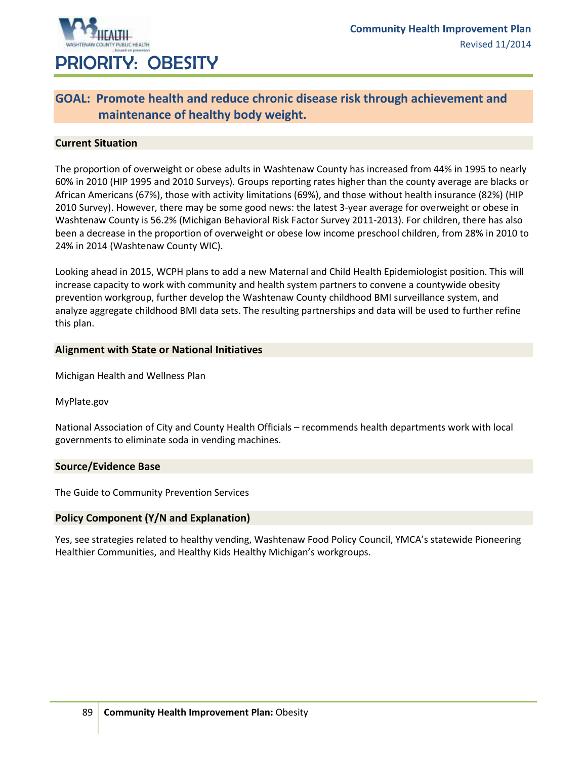

### **GOAL: Promote health and reduce chronic disease risk through achievement and maintenance of healthy body weight.**

### **Current Situation**

The proportion of overweight or obese adults in Washtenaw County has increased from 44% in 1995 to nearly 60% in 2010 (HIP 1995 and 2010 Surveys). Groups reporting rates higher than the county average are blacks or African Americans (67%), those with activity limitations (69%), and those without health insurance (82%) (HIP 2010 Survey). However, there may be some good news: the latest 3-year average for overweight or obese in Washtenaw County is 56.2% (Michigan Behavioral Risk Factor Survey 2011-2013). For children, there has also been a decrease in the proportion of overweight or obese low income preschool children, from 28% in 2010 to 24% in 2014 (Washtenaw County WIC).

Looking ahead in 2015, WCPH plans to add a new Maternal and Child Health Epidemiologist position. This will increase capacity to work with community and health system partners to convene a countywide obesity prevention workgroup, further develop the Washtenaw County childhood BMI surveillance system, and analyze aggregate childhood BMI data sets. The resulting partnerships and data will be used to further refine this plan.

#### **Alignment with State or National Initiatives**

Michigan Health and Wellness Plan

MyPlate.gov

National Association of City and County Health Officials – recommends health departments work with local governments to eliminate soda in vending machines.

#### **Source/Evidence Base**

The Guide to Community Prevention Services

#### **Policy Component (Y/N and Explanation)**

Yes, see strategies related to healthy vending, Washtenaw Food Policy Council, YMCA's statewide Pioneering Healthier Communities, and Healthy Kids Healthy Michigan's workgroups.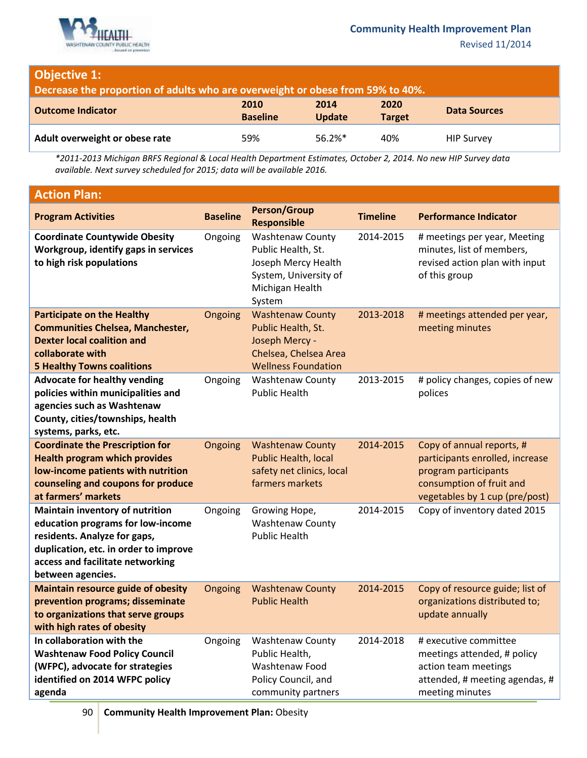

Revised 11/2014

# **Objective 1:**

**Decrease the proportion of adults who are overweight or obese from 59% to 40%.**

| <b>Outcome Indicator</b>       | 2010<br><b>Baseline</b> | 2014<br><b>Update</b> | 2020<br><b>Target</b> | <b>Data Sources</b> |
|--------------------------------|-------------------------|-----------------------|-----------------------|---------------------|
| Adult overweight or obese rate | 59%                     | $56.2%$ *             | 40%                   | <b>HIP Survey</b>   |

*\*2011-2013 Michigan BRFS Regional & Local Health Department Estimates, October 2, 2014. No new HIP Survey data available. Next survey scheduled for 2015; data will be available 2016.*

| <b>Action Plan:</b>                                                                                                                                                                                    |                 |                                                                                                                            |                 |                                                                                                                                                    |
|--------------------------------------------------------------------------------------------------------------------------------------------------------------------------------------------------------|-----------------|----------------------------------------------------------------------------------------------------------------------------|-----------------|----------------------------------------------------------------------------------------------------------------------------------------------------|
| <b>Program Activities</b>                                                                                                                                                                              | <b>Baseline</b> | <b>Person/Group</b><br><b>Responsible</b>                                                                                  | <b>Timeline</b> | <b>Performance Indicator</b>                                                                                                                       |
| <b>Coordinate Countywide Obesity</b><br>Workgroup, identify gaps in services<br>to high risk populations                                                                                               | Ongoing         | <b>Washtenaw County</b><br>Public Health, St.<br>Joseph Mercy Health<br>System, University of<br>Michigan Health<br>System | 2014-2015       | # meetings per year, Meeting<br>minutes, list of members,<br>revised action plan with input<br>of this group                                       |
| <b>Participate on the Healthy</b><br><b>Communities Chelsea, Manchester,</b><br><b>Dexter local coalition and</b><br>collaborate with<br><b>5 Healthy Towns coalitions</b>                             | Ongoing         | <b>Washtenaw County</b><br>Public Health, St.<br>Joseph Mercy -<br>Chelsea, Chelsea Area<br><b>Wellness Foundation</b>     | 2013-2018       | # meetings attended per year,<br>meeting minutes                                                                                                   |
| <b>Advocate for healthy vending</b><br>policies within municipalities and<br>agencies such as Washtenaw<br>County, cities/townships, health<br>systems, parks, etc.                                    | Ongoing         | <b>Washtenaw County</b><br><b>Public Health</b>                                                                            | 2013-2015       | # policy changes, copies of new<br>polices                                                                                                         |
| <b>Coordinate the Prescription for</b><br><b>Health program which provides</b><br>low-income patients with nutrition<br>counseling and coupons for produce<br>at farmers' markets                      | Ongoing         | <b>Washtenaw County</b><br><b>Public Health, local</b><br>safety net clinics, local<br>farmers markets                     | 2014-2015       | Copy of annual reports, #<br>participants enrolled, increase<br>program participants<br>consumption of fruit and<br>vegetables by 1 cup (pre/post) |
| Maintain inventory of nutrition<br>education programs for low-income<br>residents. Analyze for gaps,<br>duplication, etc. in order to improve<br>access and facilitate networking<br>between agencies. | Ongoing         | Growing Hope,<br><b>Washtenaw County</b><br><b>Public Health</b>                                                           | 2014-2015       | Copy of inventory dated 2015                                                                                                                       |
| <b>Maintain resource guide of obesity</b><br>prevention programs; disseminate<br>to organizations that serve groups<br>with high rates of obesity                                                      | Ongoing         | <b>Washtenaw County</b><br><b>Public Health</b>                                                                            | 2014-2015       | Copy of resource guide; list of<br>organizations distributed to;<br>update annually                                                                |
| In collaboration with the<br><b>Washtenaw Food Policy Council</b><br>(WFPC), advocate for strategies<br>identified on 2014 WFPC policy<br>agenda                                                       | Ongoing         | <b>Washtenaw County</b><br>Public Health,<br>Washtenaw Food<br>Policy Council, and<br>community partners                   | 2014-2018       | # executive committee<br>meetings attended, # policy<br>action team meetings<br>attended, # meeting agendas, #<br>meeting minutes                  |